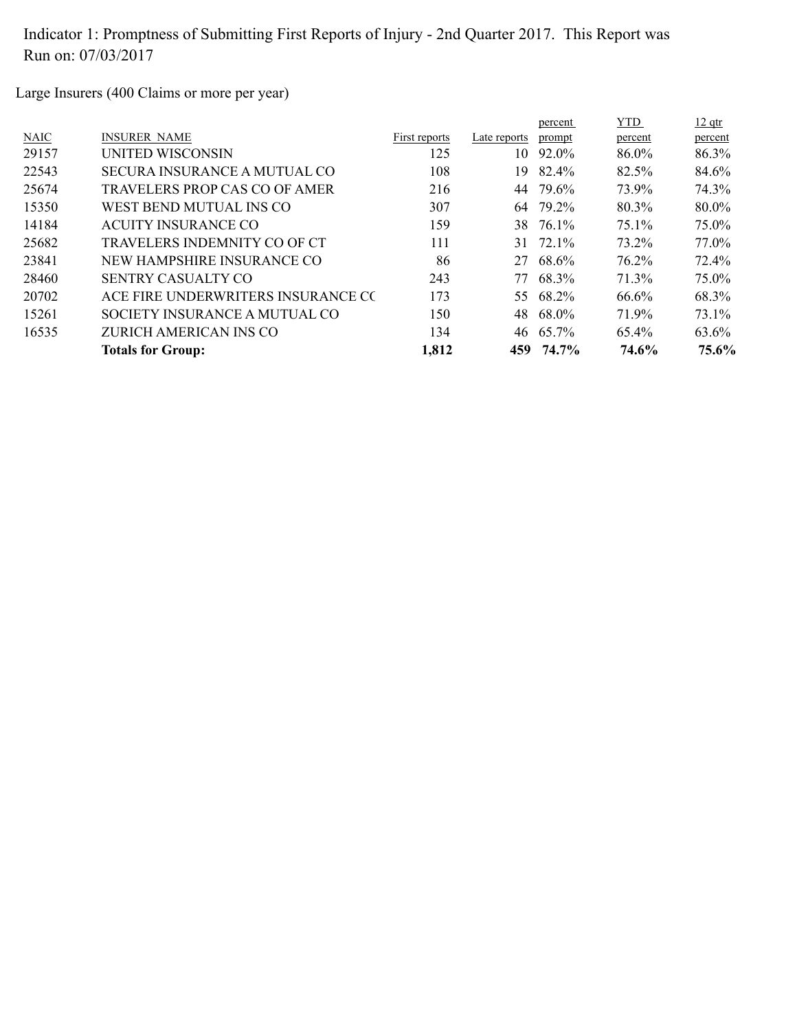Large Insurers (400 Claims or more per year)

|                                    |               |              | percent | YTD.                                                                                             | $12$ qtr |
|------------------------------------|---------------|--------------|---------|--------------------------------------------------------------------------------------------------|----------|
| <b>INSURER NAME</b>                | First reports | Late reports | prompt  | percent                                                                                          | percent  |
| UNITED WISCONSIN                   | 125           | 10           | 92.0%   | 86.0%                                                                                            | 86.3%    |
| SECURA INSURANCE A MUTUAL CO       | 108           | 19           | 82.4%   | 82.5%                                                                                            | 84.6%    |
| TRAVELERS PROP CAS CO OF AMER      | 216           |              |         | 73.9%                                                                                            | 74.3%    |
| WEST BEND MUTUAL INS CO            | 307           |              |         | 80.3%                                                                                            | 80.0%    |
| <b>ACUITY INSURANCE CO</b>         | 159           |              |         | 75.1%                                                                                            | 75.0%    |
| TRAVELERS INDEMNITY CO OF CT       | 111           | 31           |         | 73.2%                                                                                            | 77.0%    |
| NEW HAMPSHIRE INSURANCE CO         | 86            | 27           | 68.6%   | 76.2%                                                                                            | 72.4%    |
| SENTRY CASUALTY CO                 | 243           | 77           |         | 71.3%                                                                                            | 75.0%    |
| ACE FIRE UNDERWRITERS INSURANCE CO | 173           |              |         | 66.6%                                                                                            | 68.3%    |
| SOCIETY INSURANCE A MUTUAL CO      | 150           |              |         | 71.9%                                                                                            | 73.1%    |
| ZURICH AMERICAN INS CO             | 134           |              |         | 65.4%                                                                                            | 63.6%    |
| <b>Totals for Group:</b>           | 1,812         |              | 74.7%   | 74.6%                                                                                            | 75.6%    |
|                                    |               |              |         | 79.6%<br>44<br>64 79.2%<br>38 76.1%<br>72.1%<br>68.3%<br>55 68.2%<br>48 68.0%<br>46 65.7%<br>459 |          |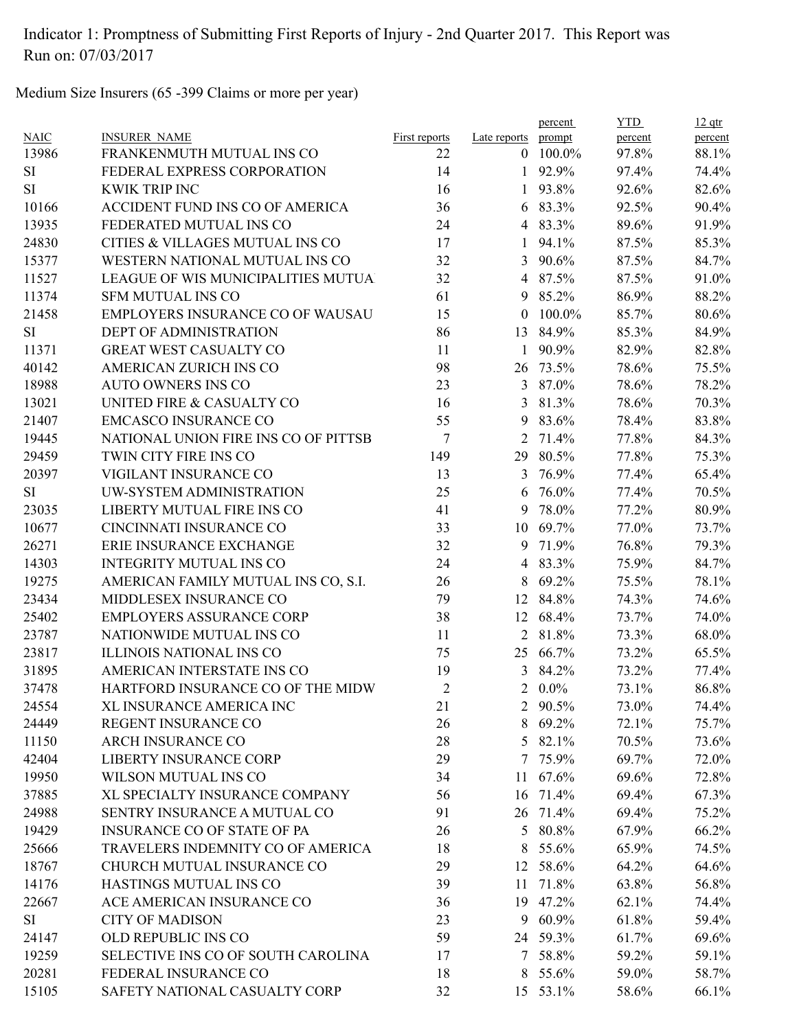Medium Size Insurers (65 -399 Claims or more per year)

|             |                                      |                |                | percent  | <b>YTD</b> | $12$ qtr |
|-------------|--------------------------------------|----------------|----------------|----------|------------|----------|
| <b>NAIC</b> | <b>INSURER NAME</b>                  | First reports  | Late reports   | prompt   | percent    | percent  |
| 13986       | FRANKENMUTH MUTUAL INS CO            | 22             | $\overline{0}$ | 100.0%   | 97.8%      | 88.1%    |
| <b>SI</b>   | FEDERAL EXPRESS CORPORATION          | 14             | 1              | 92.9%    | 97.4%      | 74.4%    |
| <b>SI</b>   | <b>KWIK TRIP INC</b>                 | 16             | 1              | 93.8%    | 92.6%      | 82.6%    |
| 10166       | ACCIDENT FUND INS CO OF AMERICA      | 36             | 6              | 83.3%    | 92.5%      | 90.4%    |
| 13935       | FEDERATED MUTUAL INS CO              | 24             |                | 4 83.3%  | 89.6%      | 91.9%    |
| 24830       | CITIES & VILLAGES MUTUAL INS CO      | 17             | 1              | 94.1%    | 87.5%      | 85.3%    |
| 15377       | WESTERN NATIONAL MUTUAL INS CO       | 32             | 3              | 90.6%    | 87.5%      | 84.7%    |
| 11527       | LEAGUE OF WIS MUNICIPALITIES MUTUA   | 32             | 4              | 87.5%    | 87.5%      | 91.0%    |
| 11374       | <b>SFM MUTUAL INS CO</b>             | 61             | 9              | 85.2%    | 86.9%      | 88.2%    |
| 21458       | EMPLOYERS INSURANCE CO OF WAUSAU     | 15             | $\theta$       | 100.0%   | 85.7%      | 80.6%    |
| <b>SI</b>   | DEPT OF ADMINISTRATION               | 86             | 13             | 84.9%    | 85.3%      | 84.9%    |
| 11371       | <b>GREAT WEST CASUALTY CO</b>        | 11             | 1              | 90.9%    | 82.9%      | 82.8%    |
| 40142       | AMERICAN ZURICH INS CO               | 98             | 26             | 73.5%    | 78.6%      | 75.5%    |
| 18988       | <b>AUTO OWNERS INS CO</b>            | 23             | 3              | 87.0%    | 78.6%      | 78.2%    |
| 13021       | UNITED FIRE & CASUALTY CO            | 16             | 3              | 81.3%    | 78.6%      | 70.3%    |
| 21407       | <b>EMCASCO INSURANCE CO</b>          | 55             | 9              | 83.6%    | 78.4%      | 83.8%    |
| 19445       | NATIONAL UNION FIRE INS CO OF PITTSB | 7              | 2              | 71.4%    | 77.8%      | 84.3%    |
| 29459       | TWIN CITY FIRE INS CO                | 149            | 29             | 80.5%    | 77.8%      | 75.3%    |
| 20397       | VIGILANT INSURANCE CO                | 13             | $\mathfrak{Z}$ | 76.9%    | 77.4%      | 65.4%    |
| <b>SI</b>   | UW-SYSTEM ADMINISTRATION             | 25             | 6              | 76.0%    | 77.4%      | 70.5%    |
| 23035       | LIBERTY MUTUAL FIRE INS CO           | 41             | 9              | 78.0%    | 77.2%      | 80.9%    |
| 10677       | CINCINNATI INSURANCE CO              | 33             | 10             | 69.7%    | 77.0%      | 73.7%    |
| 26271       | ERIE INSURANCE EXCHANGE              | 32             | 9              | 71.9%    | 76.8%      | 79.3%    |
| 14303       | <b>INTEGRITY MUTUAL INS CO</b>       | 24             | $\overline{4}$ | 83.3%    | 75.9%      | 84.7%    |
| 19275       | AMERICAN FAMILY MUTUAL INS CO, S.I.  | 26             | 8              | 69.2%    | 75.5%      | 78.1%    |
| 23434       | MIDDLESEX INSURANCE CO               | 79             | 12             | 84.8%    | 74.3%      | 74.6%    |
| 25402       | <b>EMPLOYERS ASSURANCE CORP</b>      | 38             | 12             | 68.4%    | 73.7%      | 74.0%    |
| 23787       | NATIONWIDE MUTUAL INS CO             | 11             | 2              | 81.8%    | 73.3%      | 68.0%    |
| 23817       | <b>ILLINOIS NATIONAL INS CO</b>      | 75             | 25             | 66.7%    | 73.2%      | 65.5%    |
| 31895       | AMERICAN INTERSTATE INS CO           | 19             | 3              | 84.2%    | 73.2%      | 77.4%    |
| 37478       | HARTFORD INSURANCE CO OF THE MIDW    | $\overline{2}$ | 2              | $0.0\%$  | 73.1%      | 86.8%    |
| 24554       | XL INSURANCE AMERICA INC             | 21             |                | 2 90.5%  | 73.0%      | 74.4%    |
| 24449       | REGENT INSURANCE CO                  | 26             |                | 8 69.2%  | 72.1%      | 75.7%    |
| 11150       | <b>ARCH INSURANCE CO</b>             | 28             |                | 5 82.1%  | 70.5%      | 73.6%    |
| 42404       | <b>LIBERTY INSURANCE CORP</b>        | 29             | 7              | 75.9%    | 69.7%      | 72.0%    |
| 19950       | WILSON MUTUAL INS CO                 | 34             | 11             | 67.6%    | 69.6%      | 72.8%    |
| 37885       | XL SPECIALTY INSURANCE COMPANY       | 56             | 16             | 71.4%    | 69.4%      | 67.3%    |
| 24988       | SENTRY INSURANCE A MUTUAL CO         | 91             | 26             | 71.4%    | 69.4%      | 75.2%    |
| 19429       | <b>INSURANCE CO OF STATE OF PA</b>   | 26             |                | 5 80.8%  | 67.9%      | 66.2%    |
| 25666       | TRAVELERS INDEMNITY CO OF AMERICA    | 18             | 8              | 55.6%    | 65.9%      | 74.5%    |
| 18767       | CHURCH MUTUAL INSURANCE CO           | 29             |                | 12 58.6% | 64.2%      | 64.6%    |
|             |                                      |                |                |          |            |          |
| 14176       | HASTINGS MUTUAL INS CO               | 39             |                | 11 71.8% | 63.8%      | 56.8%    |
| 22667       | ACE AMERICAN INSURANCE CO            | 36             |                | 19 47.2% | 62.1%      | 74.4%    |
| SI          | <b>CITY OF MADISON</b>               | 23             |                | 9 60.9%  | 61.8%      | 59.4%    |
| 24147       | OLD REPUBLIC INS CO                  | 59             |                | 24 59.3% | 61.7%      | 69.6%    |
| 19259       | SELECTIVE INS CO OF SOUTH CAROLINA   | 17             |                | 7 58.8%  | 59.2%      | 59.1%    |
| 20281       | FEDERAL INSURANCE CO                 | 18             | 8              | 55.6%    | 59.0%      | 58.7%    |
| 15105       | SAFETY NATIONAL CASUALTY CORP        | 32             |                | 15 53.1% | 58.6%      | 66.1%    |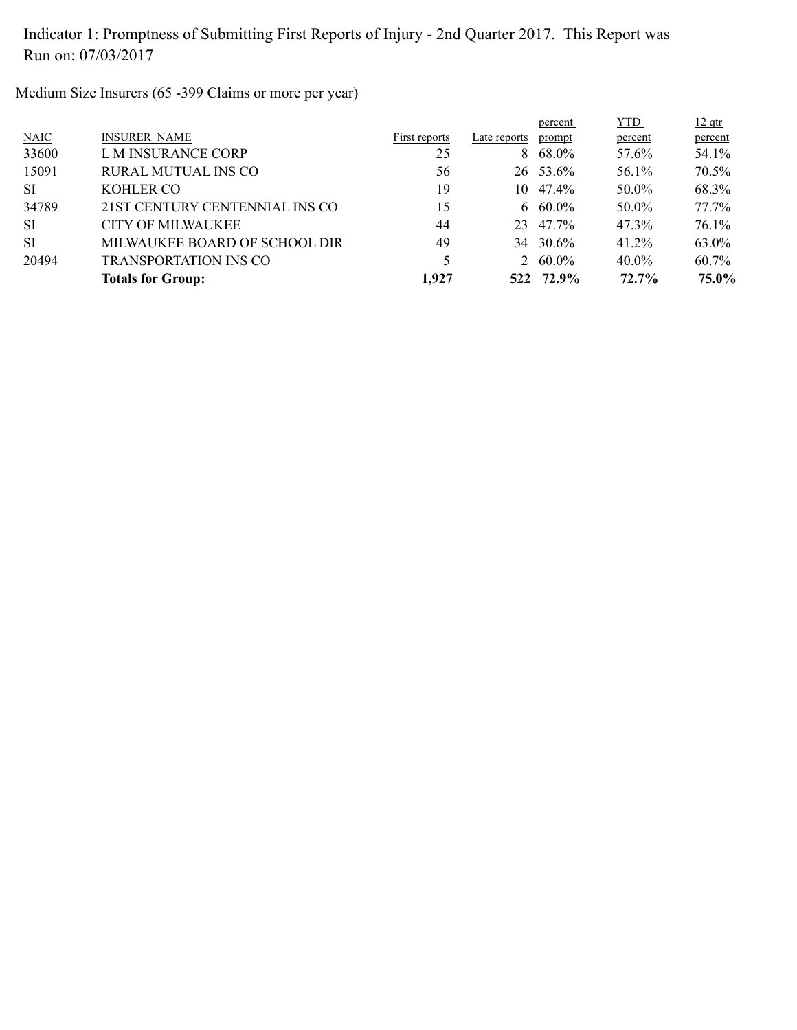Medium Size Insurers (65 -399 Claims or more per year)

|             |                                |               |              | percent         | <b>YTD</b> | $12$ qtr |
|-------------|--------------------------------|---------------|--------------|-----------------|------------|----------|
| <b>NAIC</b> | <b>INSURER NAME</b>            | First reports | Late reports | prompt          | percent    | percent  |
| 33600       | L M INSURANCE CORP             | 25            |              | $8\quad 68.0\%$ | 57.6%      | 54.1%    |
| 15091       | <b>RURAL MUTUAL INS CO</b>     | 56            |              | 26 53.6%        | 56.1%      | 70.5%    |
| <b>SI</b>   | KOHLER CO                      | 19            | 10.          | 47.4%           | 50.0%      | 68.3%    |
| 34789       | 21ST CENTURY CENTENNIAL INS CO | 15            |              | 6 60.0%         | 50.0%      | 77.7%    |
| <b>SI</b>   | CITY OF MILWAUKEE              | 44            | 23           | 47.7%           | 47.3%      | $76.1\%$ |
| <b>SI</b>   | MILWAUKEE BOARD OF SCHOOL DIR  | 49            |              | 34 30.6%        | 41.2%      | 63.0%    |
| 20494       | <b>TRANSPORTATION INS CO</b>   |               |              | 2 $60.0\%$      | $40.0\%$   | 60.7%    |
|             | <b>Totals for Group:</b>       | 1,927         |              | 522 72.9%       | 72.7%      | 75.0%    |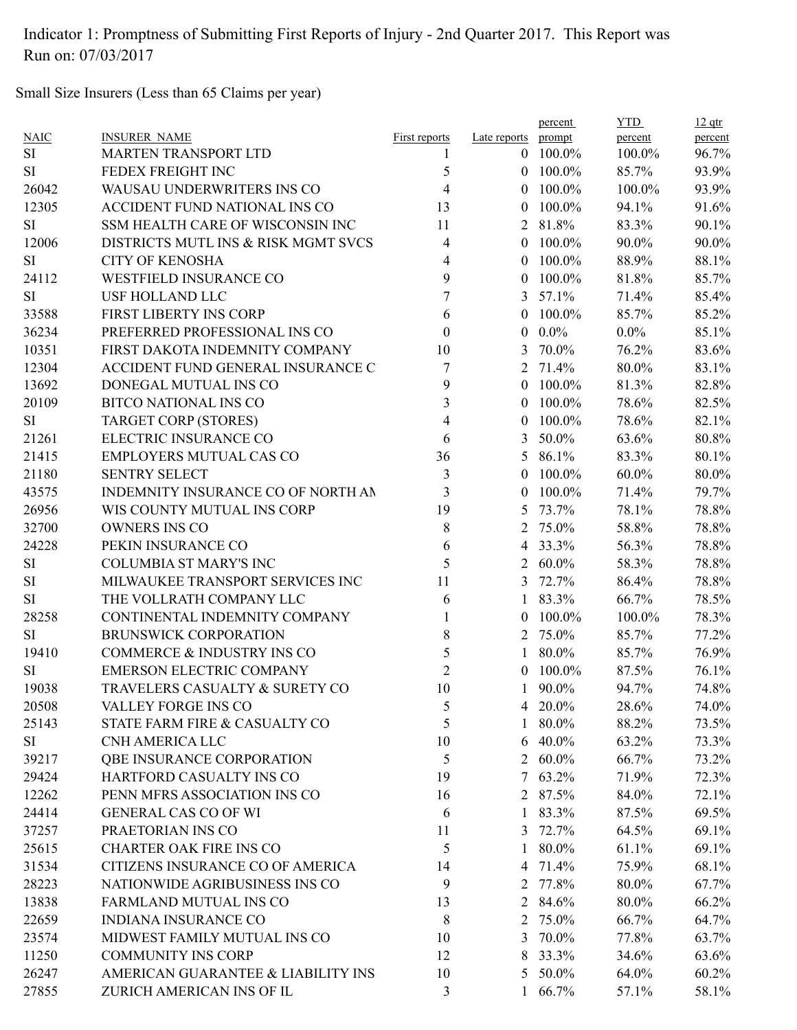Small Size Insurers (Less than 65 Claims per year)

| <b>NAIC</b><br><b>INSURER NAME</b>            | <b>First reports</b> | Late reports   | prompt          | percent  | percent |
|-----------------------------------------------|----------------------|----------------|-----------------|----------|---------|
| <b>SI</b><br><b>MARTEN TRANSPORT LTD</b>      | 1                    | $\overline{0}$ | 100.0%          | 100.0%   | 96.7%   |
| FEDEX FREIGHT INC<br><b>SI</b>                | 5                    | $\Omega$       | 100.0%          | 85.7%    | 93.9%   |
| 26042<br>WAUSAU UNDERWRITERS INS CO           | $\overline{4}$       | $\theta$       | 100.0%          | 100.0%   | 93.9%   |
| 12305<br>ACCIDENT FUND NATIONAL INS CO        | 13                   | $\mathbf{0}$   | 100.0%          | 94.1%    | 91.6%   |
| <b>SI</b><br>SSM HEALTH CARE OF WISCONSIN INC | 11                   | $\overline{2}$ | 81.8%           | 83.3%    | 90.1%   |
| 12006<br>DISTRICTS MUTL INS & RISK MGMT SVCS  | 4                    | $\theta$       | 100.0%          | 90.0%    | 90.0%   |
| <b>CITY OF KENOSHA</b><br><b>SI</b>           | 4                    | $\theta$       | 100.0%          | 88.9%    | 88.1%   |
| WESTFIELD INSURANCE CO<br>24112               | 9                    | $\theta$       | 100.0%          | 81.8%    | 85.7%   |
| <b>USF HOLLAND LLC</b><br><b>SI</b>           | 7                    | 3              | 57.1%           | 71.4%    | 85.4%   |
| 33588<br>FIRST LIBERTY INS CORP               | 6                    | $\theta$       | 100.0%          | 85.7%    | 85.2%   |
| 36234<br>PREFERRED PROFESSIONAL INS CO        | $\theta$             | $\mathbf{0}$   | $0.0\%$         | $0.0\%$  | 85.1%   |
| 10351<br>FIRST DAKOTA INDEMNITY COMPANY       | 10                   | 3              | 70.0%           | 76.2%    | 83.6%   |
| 12304<br>ACCIDENT FUND GENERAL INSURANCE C    | 7                    | 2              | 71.4%           | 80.0%    | 83.1%   |
| 13692<br>DONEGAL MUTUAL INS CO                | 9                    | $\theta$       | 100.0%          | 81.3%    | 82.8%   |
| 20109<br><b>BITCO NATIONAL INS CO</b>         | 3                    | $\theta$       | 100.0%          | 78.6%    | 82.5%   |
| <b>TARGET CORP (STORES)</b><br><b>SI</b>      | 4                    | $\theta$       | 100.0%          | 78.6%    | 82.1%   |
| ELECTRIC INSURANCE CO<br>21261                | 6                    | 3              | 50.0%           | 63.6%    | 80.8%   |
| 21415<br>EMPLOYERS MUTUAL CAS CO              | 36                   | 5              | 86.1%           | 83.3%    | 80.1%   |
| 21180<br><b>SENTRY SELECT</b>                 | $\mathfrak{Z}$       | $\mathbf{0}$   | 100.0%          | $60.0\%$ | 80.0%   |
| 43575<br>INDEMNITY INSURANCE CO OF NORTH AN   | 3                    | $\theta$       | 100.0%          | 71.4%    | 79.7%   |
| 26956<br>WIS COUNTY MUTUAL INS CORP           | 19                   | 5              | 73.7%           | 78.1%    | 78.8%   |
| 32700<br><b>OWNERS INS CO</b>                 | 8                    | 2              | 75.0%           | 58.8%    | 78.8%   |
| 24228<br>PEKIN INSURANCE CO                   | 6                    | $\overline{4}$ | 33.3%           | 56.3%    | 78.8%   |
| <b>COLUMBIA ST MARY'S INC</b><br><b>SI</b>    | 5                    | 2              | $60.0\%$        | 58.3%    | 78.8%   |
| <b>SI</b><br>MILWAUKEE TRANSPORT SERVICES INC | 11                   | 3              | 72.7%           | 86.4%    | 78.8%   |
| <b>SI</b><br>THE VOLLRATH COMPANY LLC         | 6                    | $\mathbf{1}$   | 83.3%           | 66.7%    | 78.5%   |
| 28258<br>CONTINENTAL INDEMNITY COMPANY        | 1                    | $\theta$       | 100.0%          | 100.0%   | 78.3%   |
| BRUNSWICK CORPORATION<br><b>SI</b>            | 8                    | 2              | 75.0%           | 85.7%    | 77.2%   |
| COMMERCE & INDUSTRY INS CO<br>19410           | 5                    | 1              | 80.0%           | 85.7%    | 76.9%   |
| EMERSON ELECTRIC COMPANY<br><b>SI</b>         | $\overline{2}$       | $\theta$       | 100.0%          | 87.5%    | 76.1%   |
| TRAVELERS CASUALTY & SURETY CO<br>19038       | 10                   | 1              | 90.0%           | 94.7%    | 74.8%   |
| 20508<br>VALLEY FORGE INS CO                  |                      |                |                 | 28.6%    | 74.0%   |
| STATE FARM FIRE & CASUALTY CO                 | 5<br>5               |                | 4 20.0%         |          |         |
| 25143<br>CNH AMERICA LLC                      |                      | 1              | 80.0%           | 88.2%    | 73.5%   |
| SI                                            | 10                   | 6              | 40.0%           | 63.2%    | 73.3%   |
| QBE INSURANCE CORPORATION<br>39217            | 5                    |                | 2 60.0%         | 66.7%    | 73.2%   |
| 29424<br>HARTFORD CASUALTY INS CO             | 19                   |                | $7\quad 63.2\%$ | 71.9%    | 72.3%   |
| 12262<br>PENN MFRS ASSOCIATION INS CO         | 16                   |                | 2 87.5%         | 84.0%    | 72.1%   |
| 24414<br><b>GENERAL CAS CO OF WI</b>          | 6                    | 1              | 83.3%           | 87.5%    | 69.5%   |
| 37257<br>PRAETORIAN INS CO                    | 11                   | 3              | 72.7%           | 64.5%    | 69.1%   |
| 25615<br><b>CHARTER OAK FIRE INS CO</b>       | 5                    | 1              | 80.0%           | 61.1%    | 69.1%   |
| 31534<br>CITIZENS INSURANCE CO OF AMERICA     | 14                   |                | 4 71.4%         | 75.9%    | 68.1%   |
| 28223<br>NATIONWIDE AGRIBUSINESS INS CO       | 9                    |                | 2 77.8%         | 80.0%    | 67.7%   |
| 13838<br>FARMLAND MUTUAL INS CO               | 13                   |                | 2 84.6%         | 80.0%    | 66.2%   |
| 22659<br><b>INDIANA INSURANCE CO</b>          | 8                    |                | 2 75.0%         | 66.7%    | 64.7%   |
| 23574<br>MIDWEST FAMILY MUTUAL INS CO         | 10                   | 3              | 70.0%           | 77.8%    | 63.7%   |
| 11250<br><b>COMMUNITY INS CORP</b>            | 12                   |                | 8 33.3%         | 34.6%    | 63.6%   |
| 26247<br>AMERICAN GUARANTEE & LIABILITY INS   | 10                   |                | 5 50.0%         | 64.0%    | 60.2%   |
| 27855<br>ZURICH AMERICAN INS OF IL            | 3                    |                | 1 $66.7\%$      | 57.1%    | 58.1%   |